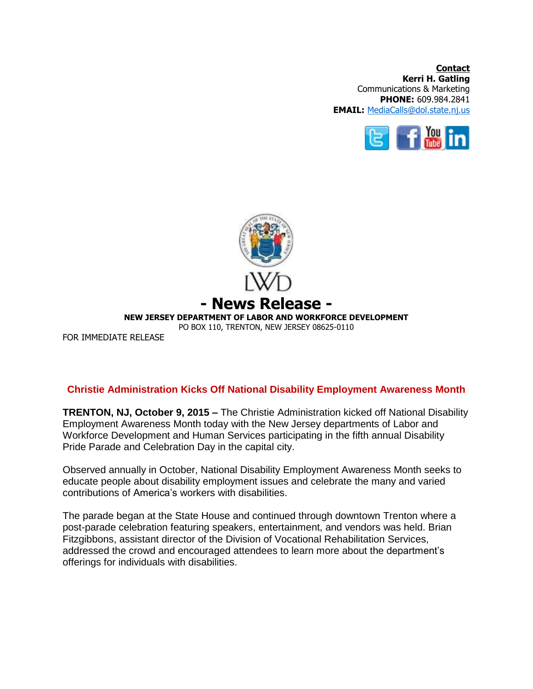**Contact Kerri H. Gatling** Communications & Marketing **PHONE:** 609.984.2841 **EMAIL:** [MediaCalls@dol.state.nj.us](mailto:MediaCalls@dol.state.nj.us)





## **Christie Administration Kicks Off National Disability Employment Awareness Month**

**TRENTON, NJ, October 9, 2015 –** The Christie Administration kicked off National Disability Employment Awareness Month today with the New Jersey departments of Labor and Workforce Development and Human Services participating in the fifth annual Disability Pride Parade and Celebration Day in the capital city.

Observed annually in October, National Disability Employment Awareness Month seeks to educate people about disability employment issues and celebrate the many and varied contributions of America's workers with disabilities.

The parade began at the State House and continued through downtown Trenton where a post-parade celebration featuring speakers, entertainment, and vendors was held. Brian Fitzgibbons, assistant director of the Division of Vocational Rehabilitation Services, addressed the crowd and encouraged attendees to learn more about the department's offerings for individuals with disabilities.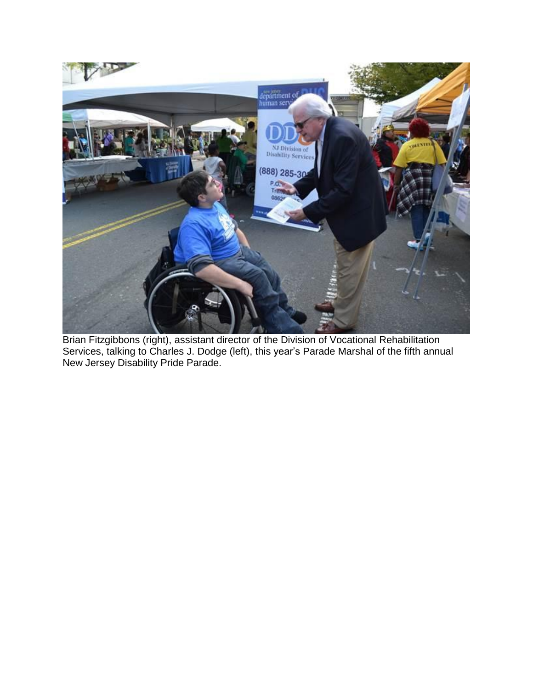

Brian Fitzgibbons (right), assistant director of the Division of Vocational Rehabilitation Services, talking to Charles J. Dodge (left), this year's Parade Marshal of the fifth annual New Jersey Disability Pride Parade.